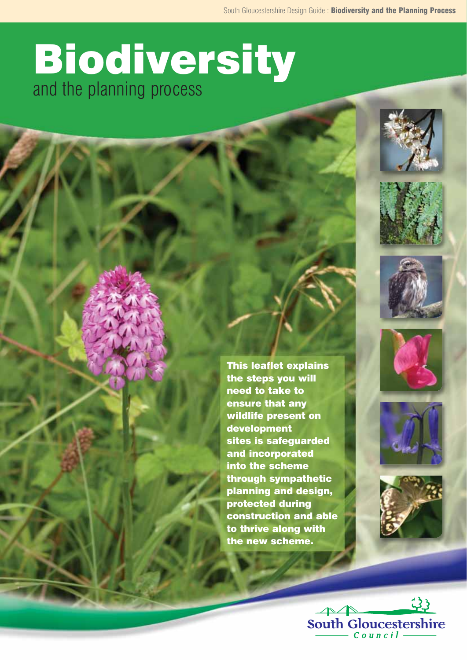# Biodiversity and the planning process















This leaflet explains the steps you will need to take to ensure that any wildlife present on development sites is safeguarded and incorporated into the scheme through sympathetic planning and design, protected during construction and able to thrive along with the new scheme.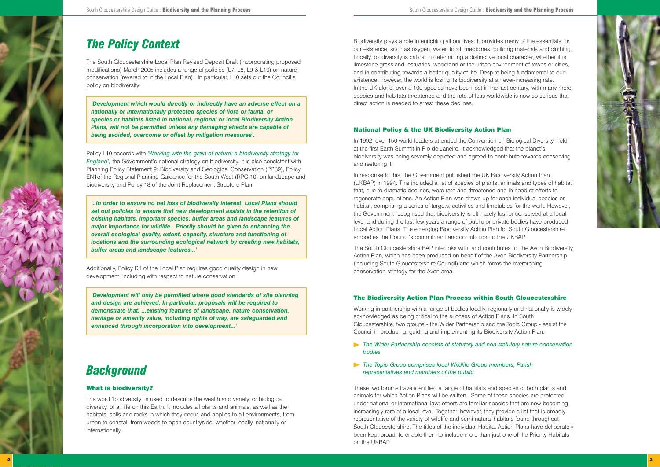Biodiversity plays a role in enriching all our lives. It provides many of the essentials for our existence, such as oxygen, water, food, medicines, building materials and clothing. Locally, biodiversity is critical in determining a distinctive local character, whether it is limestone grassland, estuaries, woodland or the urban environment of towns or cities, and in contributing towards a better quality of life. Despite being fundamental to our existence, however, the world is losing its biodiversity at an ever-increasing rate. In the UK alone, over a 100 species have been lost in the last century, with many more species and habitats threatened and the rate of loss worldwide is now so serious that direct action is needed to arrest these declines.

### National Policy & the UK Biodiversity Action Plan

In 1992, over 150 world leaders attended the Convention on Biological Diversity, held at the first Earth Summit in Rio de Janeiro. It acknowledged that the planet's biodiversity was being severely depleted and agreed to contribute towards conserving and restoring it.

In response to this, the Government published the UK Biodiversity Action Plan (UKBAP) in 1994. This included a list of species of plants, animals and types of habitat that, due to dramatic declines, were rare and threatened and in need of efforts to regenerate populations. An Action Plan was drawn up for each individual species or habitat, comprising a series of targets, activities and timetables for the work. However, the Government recognised that biodiversity is ultimately lost or conserved at a local level and during the last few years a range of public or private bodies have produced Local Action Plans. The emerging Biodiversity Action Plan for South Gloucestershire embodies the Council's commitment and contribution to the UKBAP.

The South Gloucestershire BAP interlinks with, and contributes to, the Avon Biodiversity Action Plan, which has been produced on behalf of the Avon Biodiversity Partnership (including South Gloucestershire Council) and which forms the overarching conservation strategy for the Avon area.

#### The Biodiversity Action Plan Process within South Gloucestershire

Working in partnership with a range of bodies locally, regionally and nationally is widely acknowledged as being critical to the success of Action Plans. In South Gloucestershire, two groups - the Wider Partnership and the Topic Group - assist the Council in producing, guiding and implementing its Biodiversity Action Plan.

- *The Wider Partnership consists of statutory and non-statutory nature conservation bodies*
- *The Topic Group comprises local Wildlife Group members, Parish representatives and members of the public*

These two forums have identified a range of habitats and species of both plants and animals for which Action Plans will be written. Some of these species are protected under national or international law: others are familiar species that are now becoming increasingly rare at a local level. Together, however, they provide a list that is broadly representative of the variety of wildlife and semi-natural habitats found throughout South Gloucestershire. The titles of the individual Habitat Action Plans have deliberately been kept broad, to enable them to include more than just one of the Priority Habitats on the UKBAP

### *The Policy Context*

The South Gloucestershire Local Plan Revised Deposit Draft (incorporating proposed modifications) March 2005 includes a range of policies (L7, L8, L9 & L10) on nature conservation (revered to in the Local Plan). In particular, L10 sets out the Council's policy on biodiversity:

*'Development which would directly or indirectly have an adverse effect on a nationally or internationally protected species of flora or fauna, or species or habitats listed in national, regional or local Biodiversity Action Plans, will not be permitted unless any damaging effects are capable of being avoided, overcome or offset by mitigation measures'.*

Policy L10 accords with *'Working with the grain of nature: a biodiversity strategy for England',* the Government's national strategy on biodiversity. It is also consistent with Planning Policy Statement 9: Biodiversity and Geological Conservation (PPS9), Policy EN1of the Regional Planning Guidance for the South West (RPG 10) on landscape and biodiversity and Policy 18 of the Joint Replacement Structure Plan:

*'..In order to ensure no net loss of biodiversity interest, Local Plans should set out policies to ensure that new development assists in the retention of existing habitats, important species, buffer areas and landscape features of major importance for wildlife. Priority should be given to enhancing the overall ecological quality, extent, capacity, structure and functioning of locations and the surrounding ecological network by creating new habitats, buffer areas and landscape features...'*

Additionally, Policy D1 of the Local Plan requires good quality design in new development, including with respect to nature conservation:

*'Development will only be permitted where good standards of site planning and design are achieved. In particular, proposals will be required to demonstrate that: ...existing features of landscape, nature conservation, heritage or amenity value, including rights of way, are safeguarded and enhanced through incorporation into development...'*

### *Background*

### What is biodiversity?

The word 'biodiversity' is used to describe the wealth and variety, or biological diversity, of all life on this Earth. It includes all plants and animals, as well as the habitats, soils and rocks in which they occur, and applies to all environments, from urban to coastal, from woods to open countryside, whether locally, nationally or internationally.

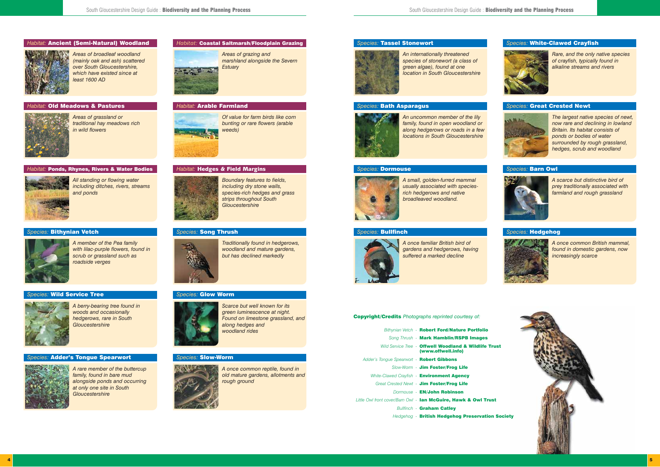

*Areas of grassland or traditional hay meadows rich in wild flowers*

#### *Habitat:* Old Meadows & Pastures



*All standing or flowing water including ditches, rivers, streams and ponds*

#### *Habitat:* Ponds, Rhynes, Rivers & Water Bodies



*Of value for farm birds like corn bunting or rare flowers (arable weeds)*

#### *Habitat:* Arable Farmland



*Boundary features to fields, including dry stone walls, species-rich hedges and grass strips throughout South Gloucestershire*

#### *Habitat:* Hedges & Field Margins



*Areas of grazing and marshland alongside the Severn*



*Estuary*

#### *Habitat:* Coastal Saltmarsh/Floodplain Grazing



*Areas of broadleaf woodland (mainly oak and ash) scattered over South Gloucestershire, which have existed since at least 1600 AD*

#### *Habitat:* Ancient (Semi-Natural) Woodland



*An internationally threatened species of stonewort (a class of green algae), found at one location in South Gloucestershire*

#### *Species:* Tassel Stonewort



*An uncommon member of the lily family, found in open woodland or along hedgerows or roads in a few locations in South Gloucestershire* 

#### *Species:* Bath Asparagus



*A small, golden-furred mammal usually associated with speciesrich hedgerows and native broadleaved woodland.*

#### *Species:* Dormouse



*A once familiar British bird of gardens and hedgerows, having suffered a marked decline*

#### *Species:* Bullfinch



*Rare, and the only native species of crayfish, typically found in alkaline streams and rivers* 

#### *Species:* White-Clawed Crayfish



*The largest native species of newt, now rare and declining in lowland Britain. Its habitat consists of ponds or bodies of water surrounded by rough grassland, hedges, scrub and woodland*

#### *Species:* Great Crested Newt



*A scarce but distinctive bird of prey traditionally associated with farmland and rough grassland*

#### *Species:* Barn Owl



*A once common British mammal, found in domestic gardens, now increasingly scarce* 

#### *Species:* Hedgehog



*A berry-bearing tree found in woods and occasionally hedgerows, rare in South Gloucestershire* 

#### *Species:* Wild Service Tree



*A member of the Pea family with lilac-purple flowers, found in scrub or grassland such as roadside verges*

#### *Species:* Bithynian Vetch



*Scarce but well known for its green luminescence at night. Found on limestone grassland, and along hedges and woodland rides*

#### *Species:* Glow Worm



*Traditionally found in hedgerows, woodland and mature gardens, but has declined markedly* 

#### *Species:* Song Thrush



*A rare member of the buttercup family, found in bare mud alongside ponds and occurring at only one site in South Gloucestershire*

#### *Species:* Adder's Tongue Spearwort



*A once common reptile, found in old mature gardens, allotments and rough ground*

#### *Species:* Slow-Worm



Copyright/Credits *Photographs reprinted courtesy of:*

| Bithynian Vetch - Robert Ford/Nature Portfolio                              |
|-----------------------------------------------------------------------------|
| Song Thrush - Mark Hamblin/RSPB Images                                      |
| Wild Service Tree - Offwell Woodland & Wildlife Trust<br>(www.offwell.info) |
| Adder's Tonque Spearwort - Robert Gibbons                                   |
| Slow-Worm - Jim Foster/Frog Life                                            |
| White-Clawed Crayfish - Environment Agency                                  |
| Great Crested Newt - Jim Foster/Frog Life                                   |
| Dormouse - EN/John Robinson                                                 |
| Little Owl front cover/Barn Owl - lan McGuire, Hawk & Owl Trust             |
| <b>Bullfinch - Graham Catley</b>                                            |
| Hedgehog - British Hedgehog Preservation Society                            |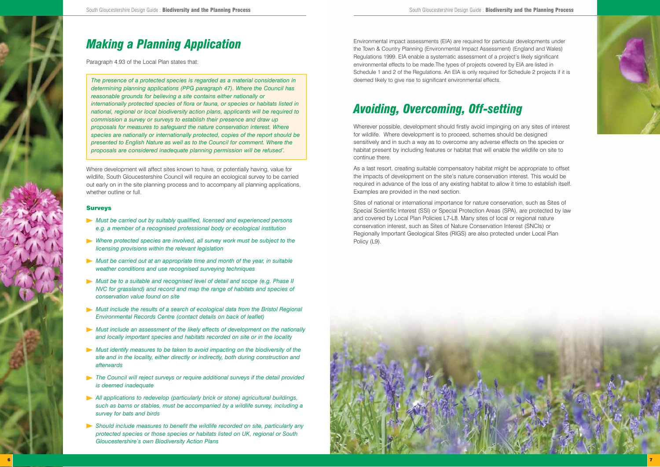## *Making a Planning Application*

Paragraph 4.93 of the Local Plan states that:

Where development will affect sites known to have, or potentially having, value for wildlife, South Gloucestershire Council will require an ecological survey to be carried out early on in the site planning process and to accompany all planning applications, whether outline or full.

*The presence of a protected species is regarded as a material consideration in determining planning applications (PPG paragraph 47). Where the Council has reasonable grounds for believing a site contains either nationally or internationally protected species of flora or fauna, or species or habitats listed in national, regional or local biodiversity action plans, applicants will be required to commission a survey or surveys to establish their presence and draw up proposals for measures to safeguard the nature conservation interest. Where species are nationally or internationally protected, copies of the report should be presented to English Nature as well as to the Council for comment. Where the proposals are considered inadequate planning permission will be refused'.*

#### Surveys

- *Must be carried out by suitably qualified, licensed and experienced persons e.g. a member of a recognised professional body or ecological institution*
- *Where protected species are involved, all survey work must be subject to the licensing provisions within the relevant legislation*
- *Must be carried out at an appropriate time and month of the year, in suitable weather conditions and use recognised surveying techniques*
- *Must be to a suitable and recognised level of detail and scope (e.g. Phase II NVC for grassland) and record and map the range of habitats and species of conservation value found on site*
- *Must include the results of a search of ecological data from the Bristol Regional Environmental Records Centre (contact details on back of leaflet)*
- *Must include an assessment of the likely effects of development on the nationally and locally important species and habitats recorded on site or in the locality*
- *Must identify measures to be taken to avoid impacting on the biodiversity of the site and in the locality, either directly or indirectly, both during construction and afterwards*
- *The Council will reject surveys or require additional surveys if the detail provided is deemed inadequate*
- *All applications to redevelop (particularly brick or stone) agricultural buildings, such as barns or stables, must be accompanied by a wildlife survey, including a survey for bats and birds*
- *Should include measures to benefit the wildlife recorded on site, particularly any protected species or those species or habitats listed on UK, regional or South Gloucestershire's own Biodiversity Action Plans*

Environmental impact assessments (EIA) are required for particular developments under the Town & Country Planning (Environmental Impact Assessment) (England and Wales) Regulations 1999. EIA enable a systematic assessment of a project's likely significant environmental effects to be made.The types of projects covered by EIA are listed in Schedule 1 and 2 of the Regulations. An EIA is only required for Schedule 2 projects if it is deemed likely to give rise to significant environmental effects.

### *Avoiding, Overcoming, Off-setting*

Wherever possible, development should firstly avoid impinging on any sites of interest for wildlife. Where development is to proceed, schemes should be designed sensitively and in such a way as to overcome any adverse effects on the species or habitat present by including features or habitat that will enable the wildlife on site to continue there.

As a last resort, creating suitable compensatory habitat might be appropriate to offset the impacts of development on the site's nature conservation interest. This would be required in advance of the loss of any existing habitat to allow it time to establish itself. Examples are provided in the next section.

Sites of national or international importance for nature conservation, such as Sites of Special Scientific Interest (SSI) or Special Protection Areas (SPA), are protected by law and covered by Local Plan Policies L7-L8. Many sites of local or regional nature conservation interest, such as Sites of Nature Conservation Interest (SNCIs) or Regionally Important Geological Sites (RIGS) are also protected under Local Plan Policy (L9).



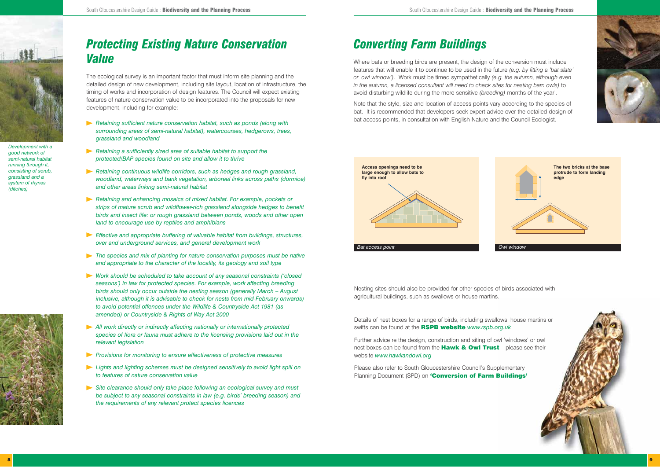

### *Converting Farm Buildings*

Where bats or breeding birds are present, the design of the conversion must include features that will enable it to continue to be used in the future *(e.g. by fitting a 'bat slate' or 'owl window')*. Work must be timed sympathetically *(e.g. the autumn, although even in the autumn, a licensed consultant will need to check sites for nesting barn owls)* to avoid disturbing wildlife during the more sensitive *(breeding)* months of the year'.

Note that the style, size and location of access points vary according to the species of bat. It is recommended that developers seek expert advice over the detailed design of bat access points, in consultation with English Nature and the Council Ecologist.

Please also refer to South Gloucestershire Council's Supplementary Planning Document (SPD) on 'Conversion of Farm Buildings'











Nesting sites should also be provided for other species of birds associated with agricultural buildings, such as swallows or house martins.

Details of nest boxes for a range of birds, including swallows, house martins or swifts can be found at the RSPB website *www.rspb.org.uk*

Further advice re the design, construction and siting of owl 'windows' or owl nest boxes can be found from the **Hawk & Owl Trust** – please see their website *www.hawkandowl.org*



The ecological survey is an important factor that must inform site planning and the detailed design of new development, including site layout, location of infrastructure, the timing of works and incorporation of design features. The Council will expect existing features of nature conservation value to be incorporated into the proposals for new development, including for example:

- *Retaining sufficient nature conservation habitat, such as ponds (along with surrounding areas of semi-natural habitat), watercourses, hedgerows, trees, grassland and woodland*
- *Retaining a sufficiently sized area of suitable habitat to support the protected/BAP species found on site and allow it to thrive*
- *Retaining continuous wildlife corridors, such as hedges and rough grassland, woodland, waterways and bank vegetation, arboreal links across paths (dormice) and other areas linking semi-natural habitat*
- *Retaining and enhancing mosaics of mixed habitat. For example, pockets or strips of mature scrub and wildflower-rich grassland alongside hedges to benefit birds and insect life: or rough grassland between ponds, woods and other open land to encourage use by reptiles and amphibians*
- *Effective and appropriate buffering of valuable habitat from buildings, structures, over and underground services, and general development work*
- *The species and mix of planting for nature conservation purposes must be native and appropriate to the character of the locality, its geology and soil type*
- *Work should be scheduled to take account of any seasonal constraints ('closed seasons') in law for protected species. For example, work affecting breeding birds should only occur outside the nesting season (generally March – August inclusive, although it is advisable to check for nests from mid-February onwards) to avoid potential offences under the Wildlife & Countryside Act 1981 (as amended) or Countryside & Rights of Way Act 2000*
- *All work directly or indirectly affecting nationally or internationally protected species of flora or fauna must adhere to the licensing provisions laid out in the relevant legislation*
- *Provisions for monitoring to ensure effectiveness of protective measures*
- *Lights and lighting schemes must be designed sensitively to avoid light spill on to features of nature conservation value*
- *Site clearance should only take place following an ecological survey and must be subject to any seasonal constraints in law (e.g. birds' breeding season) and the requirements of any relevant protect species licences*

*Development with a good network of semi-natural habitat running through it, consisting of scrub, grassland and a system of rhynes (ditches)*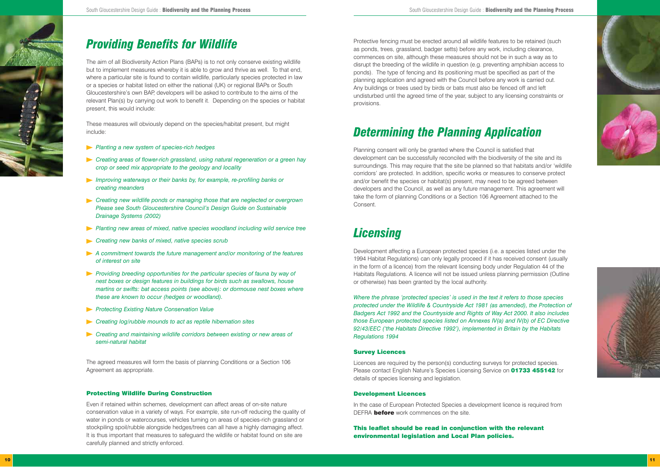

### *Providing Benefits for Wildlife*

The aim of all Biodiversity Action Plans (BAPs) is to not only conserve existing wildlife but to implement measures whereby it is able to grow and thrive as well. To that end, where a particular site is found to contain wildlife, particularly species protected in law or a species or habitat listed on either the national (UK) or regional BAPs or South Gloucestershire's own BAP, developers will be asked to contribute to the aims of the relevant Plan(s) by carrying out work to benefit it. Depending on the species or habitat present, this would include:

These measures will obviously depend on the species/habitat present, but might include:

- *Planting a new system of species-rich hedges*
- *Creating areas of flower-rich grassland, using natural regeneration or a green hay crop or seed mix appropriate to the geology and locality*
- *Improving waterways or their banks by, for example, re-profiling banks or creating meanders*
- *Creating new wildlife ponds or managing those that are neglected or overgrown Please see South Gloucestershire Council's Design Guide on Sustainable Drainage Systems (2002)*
- **Planting new areas of mixed, native species woodland including wild service tree**
- *Creating new banks of mixed, native species scrub*
- *A commitment towards the future management and/or monitoring of the features of interest on site*
- *Providing breeding opportunities for the particular species of fauna by way of nest boxes or design features in buildings for birds such as swallows, house martins or swifts: bat access points (see above): or dormouse nest boxes where these are known to occur (hedges or woodland).*
- *Protecting Existing Nature Conservation Value*
- *Creating log/rubble mounds to act as reptile hibernation sites*
- *Creating and maintaining wildlife corridors between existing or new areas of semi-natural habitat*

The agreed measures will form the basis of planning Conditions or a Section 106 Agreement as appropriate.

#### Protecting Wildlife During Construction

Even if retained within schemes, development can affect areas of on-site nature conservation value in a variety of ways. For example, site run-off reducing the quality of water in ponds or watercourses, vehicles turning on areas of species-rich grassland or stockpiling spoil/rubble alongside hedges/trees can all have a highly damaging affect. It is thus important that measures to safeguard the wildlife or habitat found on site are carefully planned and strictly enforced.

In the case of European Protected Species a development licence is required from DEFRA **before** work commences on the site.

Protective fencing must be erected around all wildlife features to be retained (such as ponds, trees, grassland, badger setts) before any work, including clearance, commences on site, although these measures should not be in such a way as to disrupt the breeding of the wildlife in question (e.g. preventing amphibian access to ponds). The type of fencing and its positioning must be specified as part of the planning application and agreed with the Council before any work is carried out. Any buildings or trees used by birds or bats must also be fenced off and left undisturbed until the agreed time of the year, subject to any licensing constraints or provisions.

## *Determining the Planning Application*

Planning consent will only be granted where the Council is satisfied that development can be successfully reconciled with the biodiversity of the site and its surroundings. This may require that the site be planned so that habitats and/or 'wildlife corridors' are protected. In addition, specific works or measures to conserve protect and/or benefit the species or habitat(s) present, may need to be agreed between developers and the Council, as well as any future management. This agreement will take the form of planning Conditions or a Section 106 Agreement attached to the Consent.

### *Licensing*

Development affecting a European protected species (i.e. a species listed under the 1994 Habitat Regulations) can only legally proceed if it has received consent (usually in the form of a licence) from the relevant licensing body under Regulation 44 of the Habitats Regulations. A licence will not be issued unless planning permission (Outline or otherwise) has been granted by the local authority.

*Where the phrase 'protected species' is used in the text it refers to those species protected under the Wildlife & Countryside Act 1981 (as amended), the Protection of Badgers Act 1992 and the Countryside and Rights of Way Act 2000. It also includes those European protected species listed on Annexes IV(a) and IV(b) of EC Directive 92/43/EEC ('the Habitats Directive 1992'), implemented in Britain by the Habitats Regulations 1994*

#### Survey Licences

Licences are required by the person(s) conducting surveys for protected species. Please contact English Nature's Species Licensing Service on **01733 455142** for details of species licensing and legislation.

#### Development Licences

This leaflet should be read in conjunction with the relevant environmental legislation and Local Plan policies.